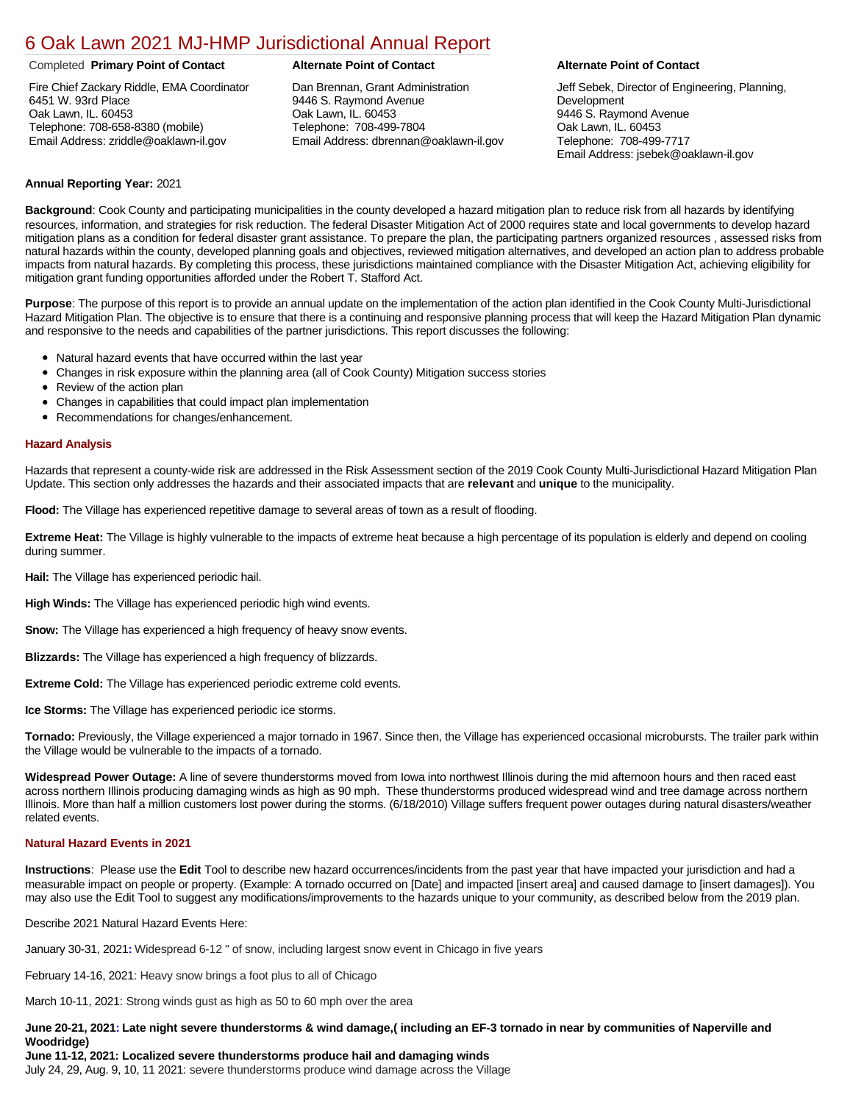# [6 Oak Lawn 2021 MJ-HMP Jurisdictional Annual Report](https://oaklawn.isc-cemp.com/Cemp/Details?id=8322856)

#### Completed **Primary Point of Contact Alternate Point of Contact Alternate Point of Contact**

Fire Chief Zackary Riddle, EMA Coordinator 6451 W. 93rd Place Oak Lawn, IL. 60453 Telephone: 708-658-8380 (mobile) Email Address: zriddle@oaklawn-il.gov

Dan Brennan, Grant Administration 9446 S. Raymond Avenue Oak Lawn, IL. 60453 Telephone: 708-499-7804 Email Address: dbrennan@oaklawn-il.gov

Jeff Sebek, Director of Engineering, Planning, Development 9446 S. Raymond Avenue Oak Lawn, IL. 60453 Telephone: 708-499-7717 Email Address: jsebek@oaklawn-il.gov

### **Annual Reporting Year:** 2021

**Background**: Cook County and participating municipalities in the county developed a hazard mitigation plan to reduce risk from all hazards by identifying resources, information, and strategies for risk reduction. The federal Disaster Mitigation Act of 2000 requires state and local governments to develop hazard mitigation plans as a condition for federal disaster grant assistance. To prepare the plan, the participating partners organized resources , assessed risks from natural hazards within the county, developed planning goals and objectives, reviewed mitigation alternatives, and developed an action plan to address probable impacts from natural hazards. By completing this process, these jurisdictions maintained compliance with the Disaster Mitigation Act, achieving eligibility for mitigation grant funding opportunities afforded under the Robert T. Stafford Act.

**Purpose**: The purpose of this report is to provide an annual update on the implementation of the action plan identified in the Cook County Multi-Jurisdictional Hazard Mitigation Plan. The objective is to ensure that there is a continuing and responsive planning process that will keep the Hazard Mitigation Plan dynamic and responsive to the needs and capabilities of the partner jurisdictions. This report discusses the following:

- Natural hazard events that have occurred within the last year
- Changes in risk exposure within the planning area (all of Cook County) Mitigation success stories
- Review of the action plan
- Changes in capabilities that could impact plan implementation
- Recommendations for changes/enhancement.

#### **Hazard Analysis**

Hazards that represent a county-wide risk are addressed in the Risk Assessment section of the 2019 Cook County Multi-Jurisdictional Hazard Mitigation Plan Update. This section only addresses the hazards and their associated impacts that are **relevant** and **unique** to the municipality.

**Flood:** The Village has experienced repetitive damage to several areas of town as a result of flooding.

**Extreme Heat:** The Village is highly vulnerable to the impacts of extreme heat because a high percentage of its population is elderly and depend on cooling during summer.

**Hail:** The Village has experienced periodic hail.

**High Winds:** The Village has experienced periodic high wind events.

**Snow:** The Village has experienced a high frequency of heavy snow events.

**Blizzards:** The Village has experienced a high frequency of blizzards.

**Extreme Cold:** The Village has experienced periodic extreme cold events.

**Ice Storms:** The Village has experienced periodic ice storms.

**Tornado:** Previously, the Village experienced a major tornado in 1967. Since then, the Village has experienced occasional microbursts. The trailer park within the Village would be vulnerable to the impacts of a tornado.

**Widespread Power Outage:** A line of severe thunderstorms moved from Iowa into northwest Illinois during the mid afternoon hours and then raced east across northern Illinois producing damaging winds as high as 90 mph. These thunderstorms produced widespread wind and tree damage across northern Illinois. More than half a million customers lost power during the storms. (6/18/2010) Village suffers frequent power outages during natural disasters/weather related events.

### **Natural Hazard Events in 2021**

**Instructions**: Please use the **Edit** Tool to describe new hazard occurrences/incidents from the past year that have impacted your jurisdiction and had a measurable impact on people or property. (Example: A tornado occurred on [Date] and impacted [insert area] and caused damage to [insert damages]). You may also use the Edit Tool to suggest any modifications/improvements to the hazards unique to your community, as described below from the 2019 plan.

Describe 2021 Natural Hazard Events Here:

January 30-31, 2021**[:](https://www.weather.gov/lot/2021jan3031_snow)** Widespread 6-12 " of snow, including largest snow event in Chicago in five years

February 14-16, 2021: Heavy snow brings a foot plus to all of Chicago

March 10-11, 2021: Strong winds gust as high as 50 to 60 mph over the area

### **June 20-21, 202[1:](https://www.weather.gov/lot/2021jun2021) Late night severe thunderstorms & wind damage,( including an EF-3 tornado in near by communities of Naperville and Woodridge)**

**June 11-12, 2021: Localized severe thunderstorms produce hail and damaging winds** July 24, 29, Aug. 9, 10, 11 2021: severe thunderstorms produce wind damage across the Village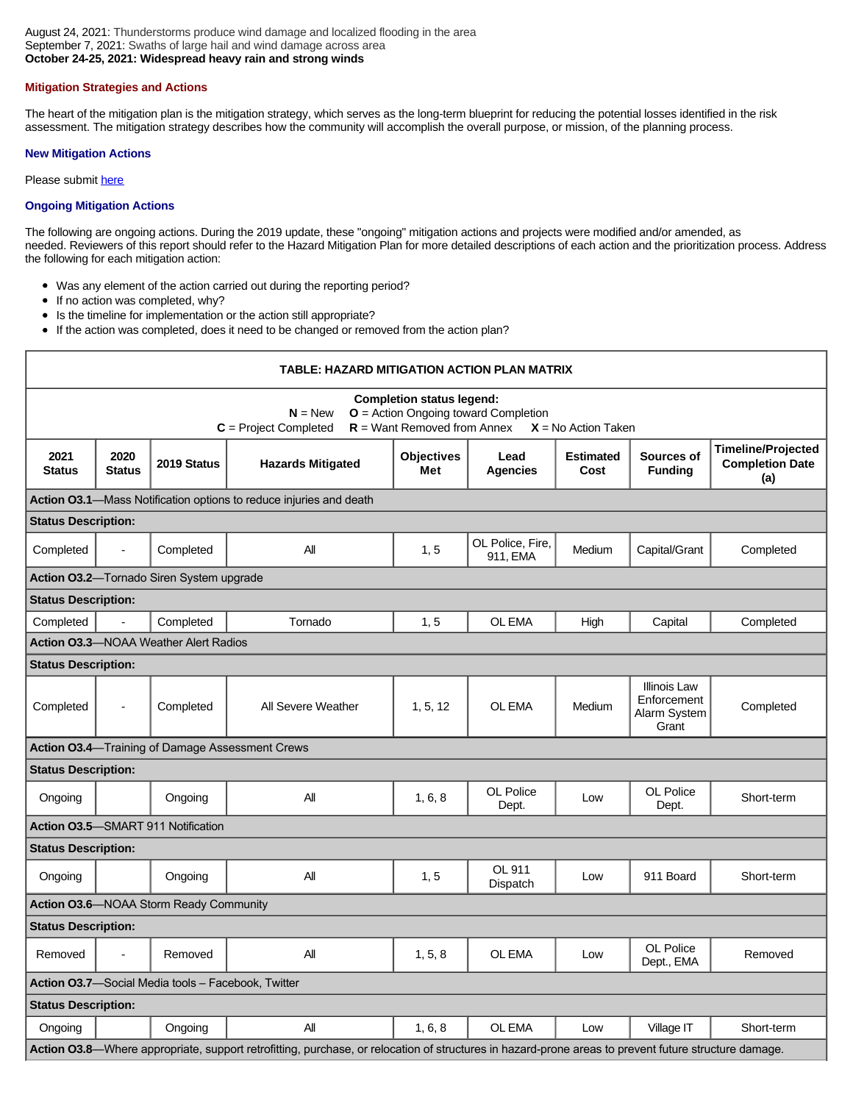# **Mitigation Strategies and Actions**

The heart of the mitigation plan is the mitigation strategy, which serves as the long-term blueprint for reducing the potential losses identified in the risk assessment. The mitigation strategy describes how the community will accomplish the overall purpose, or mission, of the planning process.

## **New Mitigation Actions**

Please submit [here](https://integratedsolutions.wufoo.com/forms/mg21jvf0jn639o/)

# **Ongoing Mitigation Actions**

The following are ongoing actions. During the 2019 update, these "ongoing" mitigation actions and projects were modified and/or amended, as needed. Reviewers of this report should refer to the Hazard Mitigation Plan for more detailed descriptions of each action and the prioritization process. Address the following for each mitigation action:

- Was any element of the action carried out during the reporting period?
- $\bullet$ If no action was completed, why?
- $\bullet$ Is the timeline for implementation or the action still appropriate?
- $\bullet$ If the action was completed, does it need to be changed or removed from the action plan?

| TABLE: HAZARD MITIGATION ACTION PLAN MATRIX                                                                                                                                  |                       |                                              |                          |                          |                              |                          |                                                             |                                                            |  |
|------------------------------------------------------------------------------------------------------------------------------------------------------------------------------|-----------------------|----------------------------------------------|--------------------------|--------------------------|------------------------------|--------------------------|-------------------------------------------------------------|------------------------------------------------------------|--|
| <b>Completion status legend:</b><br>$N = New$<br>$O =$ Action Ongoing toward Completion<br>$R =$ Want Removed from Annex<br>$X = No$ Action Taken<br>$C =$ Project Completed |                       |                                              |                          |                          |                              |                          |                                                             |                                                            |  |
| 2021<br><b>Status</b>                                                                                                                                                        | 2020<br><b>Status</b> | 2019 Status                                  | <b>Hazards Mitigated</b> | <b>Objectives</b><br>Met | Lead<br><b>Agencies</b>      | <b>Estimated</b><br>Cost | Sources of<br><b>Funding</b>                                | <b>Timeline/Projected</b><br><b>Completion Date</b><br>(a) |  |
| Action 03.1-Mass Notification options to reduce injuries and death                                                                                                           |                       |                                              |                          |                          |                              |                          |                                                             |                                                            |  |
| <b>Status Description:</b>                                                                                                                                                   |                       |                                              |                          |                          |                              |                          |                                                             |                                                            |  |
| Completed                                                                                                                                                                    | $\overline{a}$        | Completed                                    | All                      | 1, 5                     | OL Police, Fire,<br>911. EMA | Medium                   | Capital/Grant                                               | Completed                                                  |  |
|                                                                                                                                                                              |                       | Action O3.2-Tornado Siren System upgrade     |                          |                          |                              |                          |                                                             |                                                            |  |
| <b>Status Description:</b>                                                                                                                                                   |                       |                                              |                          |                          |                              |                          |                                                             |                                                            |  |
| Completed                                                                                                                                                                    | $\overline{a}$        | Completed                                    | Tornado                  | 1, 5                     | OL EMA                       | High                     | Capital                                                     | Completed                                                  |  |
|                                                                                                                                                                              |                       | <b>Action O3.3-NOAA Weather Alert Radios</b> |                          |                          |                              |                          |                                                             |                                                            |  |
| <b>Status Description:</b>                                                                                                                                                   |                       |                                              |                          |                          |                              |                          |                                                             |                                                            |  |
| Completed                                                                                                                                                                    | $\overline{a}$        | Completed                                    | All Severe Weather       | 1, 5, 12                 | OL EMA                       | Medium                   | <b>Illinois Law</b><br>Enforcement<br>Alarm System<br>Grant | Completed                                                  |  |
| Action 03.4-Training of Damage Assessment Crews                                                                                                                              |                       |                                              |                          |                          |                              |                          |                                                             |                                                            |  |
| <b>Status Description:</b>                                                                                                                                                   |                       |                                              |                          |                          |                              |                          |                                                             |                                                            |  |
| Ongoing                                                                                                                                                                      |                       | Ongoing                                      | All                      | 1.6.8                    | OL Police<br>Dept.           | Low                      | OL Police<br>Dept.                                          | Short-term                                                 |  |
| <b>Action O3.5</b> —SMART 911 Notification                                                                                                                                   |                       |                                              |                          |                          |                              |                          |                                                             |                                                            |  |
| <b>Status Description:</b>                                                                                                                                                   |                       |                                              |                          |                          |                              |                          |                                                             |                                                            |  |
| Ongoing                                                                                                                                                                      |                       | Ongoing                                      | All                      | 1, 5                     | OL 911<br>Dispatch           | Low                      | 911 Board                                                   | Short-term                                                 |  |
| Action O3.6-NOAA Storm Ready Community                                                                                                                                       |                       |                                              |                          |                          |                              |                          |                                                             |                                                            |  |
| <b>Status Description:</b>                                                                                                                                                   |                       |                                              |                          |                          |                              |                          |                                                             |                                                            |  |
| Removed                                                                                                                                                                      |                       | Removed                                      | All                      | 1, 5, 8                  | OL EMA                       | Low                      | OL Police<br>Dept., EMA                                     | Removed                                                    |  |
| Action 03.7-Social Media tools - Facebook, Twitter                                                                                                                           |                       |                                              |                          |                          |                              |                          |                                                             |                                                            |  |
| <b>Status Description:</b>                                                                                                                                                   |                       |                                              |                          |                          |                              |                          |                                                             |                                                            |  |
| Ongoing                                                                                                                                                                      |                       | Ongoing                                      | All                      | 1, 6, 8                  | OL EMA                       | l ow                     | Village IT                                                  | Short-term                                                 |  |
| Action 03.8—Where appropriate, support retrofitting, purchase, or relocation of structures in hazard-prone areas to prevent future structure damage.                         |                       |                                              |                          |                          |                              |                          |                                                             |                                                            |  |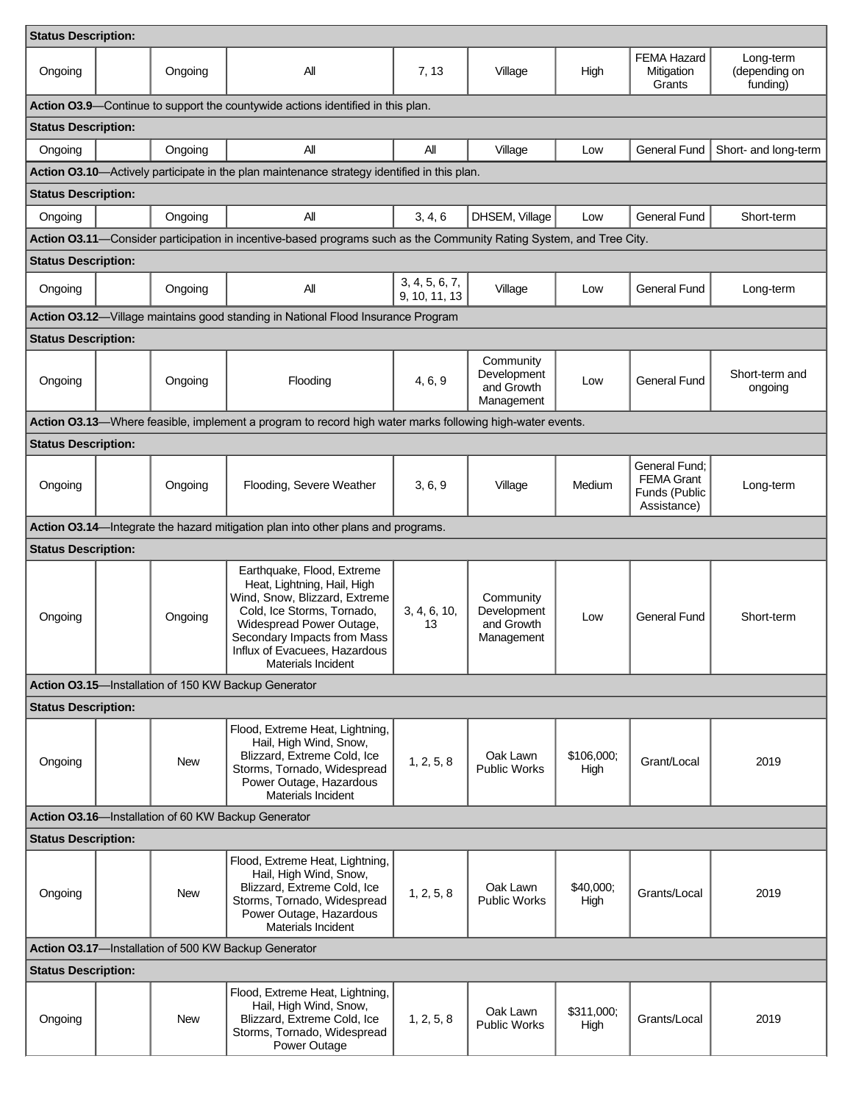| <b>Status Description:</b>                                                                                          |  |            |                                                                                                                                                                                                                                            |                                 |                                                      |                    |                                                                    |                                        |  |
|---------------------------------------------------------------------------------------------------------------------|--|------------|--------------------------------------------------------------------------------------------------------------------------------------------------------------------------------------------------------------------------------------------|---------------------------------|------------------------------------------------------|--------------------|--------------------------------------------------------------------|----------------------------------------|--|
| Ongoing                                                                                                             |  | Ongoing    | All                                                                                                                                                                                                                                        | 7, 13                           | Village                                              | High               | <b>FEMA Hazard</b><br>Mitigation<br>Grants                         | Long-term<br>(depending on<br>funding) |  |
| Action 03.9-Continue to support the countywide actions identified in this plan.                                     |  |            |                                                                                                                                                                                                                                            |                                 |                                                      |                    |                                                                    |                                        |  |
| <b>Status Description:</b>                                                                                          |  |            |                                                                                                                                                                                                                                            |                                 |                                                      |                    |                                                                    |                                        |  |
| Ongoing                                                                                                             |  | Ongoing    | All                                                                                                                                                                                                                                        | All                             | Village                                              | Low                | General Fund                                                       | Short- and long-term                   |  |
|                                                                                                                     |  |            | Action 03.10—Actively participate in the plan maintenance strategy identified in this plan.                                                                                                                                                |                                 |                                                      |                    |                                                                    |                                        |  |
| <b>Status Description:</b>                                                                                          |  |            |                                                                                                                                                                                                                                            |                                 |                                                      |                    |                                                                    |                                        |  |
| Ongoing                                                                                                             |  | Ongoing    | All                                                                                                                                                                                                                                        | 3, 4, 6                         | DHSEM, Village                                       | Low                | <b>General Fund</b>                                                | Short-term                             |  |
| Action 03.11—Consider participation in incentive-based programs such as the Community Rating System, and Tree City. |  |            |                                                                                                                                                                                                                                            |                                 |                                                      |                    |                                                                    |                                        |  |
| <b>Status Description:</b>                                                                                          |  |            |                                                                                                                                                                                                                                            |                                 |                                                      |                    |                                                                    |                                        |  |
| Ongoing                                                                                                             |  | Ongoing    | Αll                                                                                                                                                                                                                                        | 3, 4, 5, 6, 7,<br>9, 10, 11, 13 | Village                                              | Low                | <b>General Fund</b>                                                | Long-term                              |  |
|                                                                                                                     |  |            | Action 03.12-Village maintains good standing in National Flood Insurance Program                                                                                                                                                           |                                 |                                                      |                    |                                                                    |                                        |  |
| <b>Status Description:</b>                                                                                          |  |            |                                                                                                                                                                                                                                            |                                 |                                                      |                    |                                                                    |                                        |  |
| Ongoing                                                                                                             |  | Ongoing    | Flooding                                                                                                                                                                                                                                   | 4, 6, 9                         | Community<br>Development<br>and Growth<br>Management | Low                | <b>General Fund</b>                                                | Short-term and<br>ongoing              |  |
|                                                                                                                     |  |            | Action 03.13—Where feasible, implement a program to record high water marks following high-water events.                                                                                                                                   |                                 |                                                      |                    |                                                                    |                                        |  |
| <b>Status Description:</b>                                                                                          |  |            |                                                                                                                                                                                                                                            |                                 |                                                      |                    |                                                                    |                                        |  |
| Ongoing                                                                                                             |  | Ongoing    | Flooding, Severe Weather                                                                                                                                                                                                                   | 3, 6, 9                         | Village                                              | Medium             | General Fund;<br><b>FEMA Grant</b><br>Funds (Public<br>Assistance) | Long-term                              |  |
|                                                                                                                     |  |            | Action 03.14-Integrate the hazard mitigation plan into other plans and programs.                                                                                                                                                           |                                 |                                                      |                    |                                                                    |                                        |  |
| <b>Status Description:</b>                                                                                          |  |            |                                                                                                                                                                                                                                            |                                 |                                                      |                    |                                                                    |                                        |  |
| Ongoing                                                                                                             |  | Ongoing    | Earthquake, Flood, Extreme<br>Heat, Lightning, Hail, High<br>Wind, Snow, Blizzard, Extreme<br>Cold, Ice Storms, Tornado,<br>Widespread Power Outage,<br>Secondary Impacts from Mass<br>Influx of Evacuees, Hazardous<br>Materials Incident | 3, 4, 6, 10,<br>13              | Community<br>Development<br>and Growth<br>Management | Low                | General Fund                                                       | Short-term                             |  |
| Action 03.15-Installation of 150 KW Backup Generator                                                                |  |            |                                                                                                                                                                                                                                            |                                 |                                                      |                    |                                                                    |                                        |  |
| <b>Status Description:</b>                                                                                          |  |            |                                                                                                                                                                                                                                            |                                 |                                                      |                    |                                                                    |                                        |  |
| Ongoing                                                                                                             |  | <b>New</b> | Flood, Extreme Heat, Lightning,<br>Hail, High Wind, Snow,<br>Blizzard, Extreme Cold, Ice<br>Storms, Tornado, Widespread<br>Power Outage, Hazardous<br>Materials Incident                                                                   | 1, 2, 5, 8                      | Oak Lawn<br><b>Public Works</b>                      | \$106,000;<br>High | Grant/Local                                                        | 2019                                   |  |
| Action 03.16-Installation of 60 KW Backup Generator                                                                 |  |            |                                                                                                                                                                                                                                            |                                 |                                                      |                    |                                                                    |                                        |  |
| <b>Status Description:</b>                                                                                          |  |            |                                                                                                                                                                                                                                            |                                 |                                                      |                    |                                                                    |                                        |  |
| Ongoing                                                                                                             |  | New        | Flood, Extreme Heat, Lightning,<br>Hail, High Wind, Snow,<br>Blizzard, Extreme Cold, Ice<br>Storms, Tornado, Widespread<br>Power Outage, Hazardous<br>Materials Incident                                                                   | 1, 2, 5, 8                      | Oak Lawn<br><b>Public Works</b>                      | \$40,000;<br>High  | Grants/Local                                                       | 2019                                   |  |
| Action 03.17-Installation of 500 KW Backup Generator                                                                |  |            |                                                                                                                                                                                                                                            |                                 |                                                      |                    |                                                                    |                                        |  |
| <b>Status Description:</b>                                                                                          |  |            |                                                                                                                                                                                                                                            |                                 |                                                      |                    |                                                                    |                                        |  |
| Ongoing                                                                                                             |  | <b>New</b> | Flood, Extreme Heat, Lightning,<br>Hail, High Wind, Snow,<br>Blizzard, Extreme Cold, Ice<br>Storms, Tornado, Widespread<br>Power Outage                                                                                                    | 1, 2, 5, 8                      | Oak Lawn<br><b>Public Works</b>                      | \$311,000;<br>High | Grants/Local                                                       | 2019                                   |  |